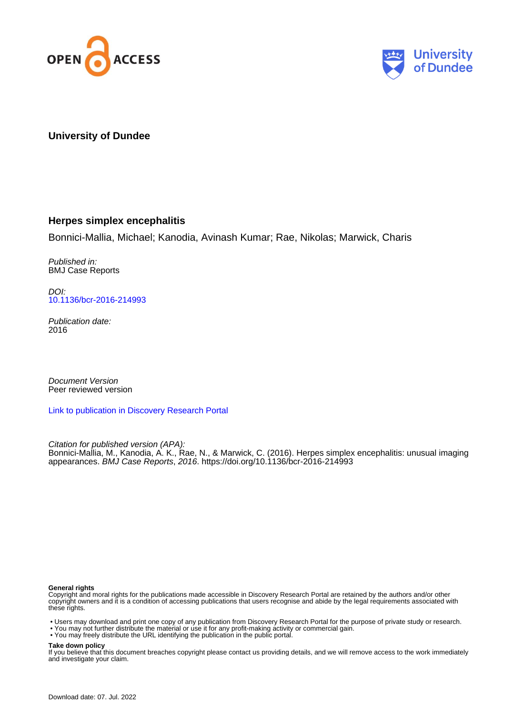



### **University of Dundee**

#### **Herpes simplex encephalitis**

Bonnici-Mallia, Michael; Kanodia, Avinash Kumar; Rae, Nikolas; Marwick, Charis

Published in: BMJ Case Reports

DOI: [10.1136/bcr-2016-214993](https://doi.org/10.1136/bcr-2016-214993)

Publication date: 2016

Document Version Peer reviewed version

[Link to publication in Discovery Research Portal](https://discovery.dundee.ac.uk/en/publications/cdc3be80-64e9-4b01-9288-b4ba9cf0bae7)

Citation for published version (APA):

Bonnici-Mallia, M., Kanodia, A. K., Rae, N., & Marwick, C. (2016). Herpes simplex encephalitis: unusual imaging appearances. BMJ Case Reports, 2016. <https://doi.org/10.1136/bcr-2016-214993>

#### **General rights**

Copyright and moral rights for the publications made accessible in Discovery Research Portal are retained by the authors and/or other copyright owners and it is a condition of accessing publications that users recognise and abide by the legal requirements associated with these rights.

- Users may download and print one copy of any publication from Discovery Research Portal for the purpose of private study or research.
- You may not further distribute the material or use it for any profit-making activity or commercial gain.
- You may freely distribute the URL identifying the publication in the public portal.

**Take down policy**

If you believe that this document breaches copyright please contact us providing details, and we will remove access to the work immediately and investigate your claim.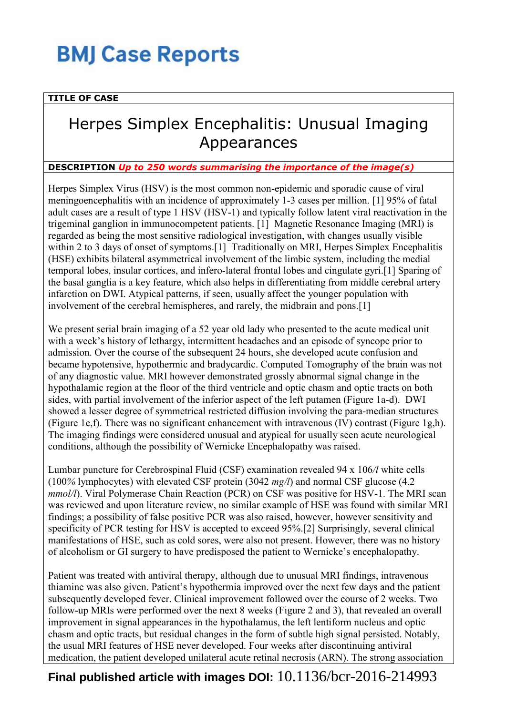## **BMJ Case Reports**

### **TITLE OF CASE**

## Herpes Simplex Encephalitis: Unusual Imaging Appearances

#### **DESCRIPTION** *Up to 250 words summarising the importance of the image(s)*

Herpes Simplex Virus (HSV) is the most common non-epidemic and sporadic cause of viral meningoencephalitis with an incidence of approximately 1-3 cases per million. [1] 95% of fatal adult cases are a result of type 1 HSV (HSV-1) and typically follow latent viral reactivation in the trigeminal ganglion in immunocompetent patients. [1] Magnetic Resonance Imaging (MRI) is regarded as being the most sensitive radiological investigation, with changes usually visible within 2 to 3 days of onset of symptoms.<sup>[1]</sup> Traditionally on MRI, Herpes Simplex Encephalitis (HSE) exhibits bilateral asymmetrical involvement of the limbic system, including the medial temporal lobes, insular cortices, and infero-lateral frontal lobes and cingulate gyri.[1] Sparing of the basal ganglia is a key feature, which also helps in differentiating from middle cerebral artery infarction on DWI. Atypical patterns, if seen, usually affect the younger population with involvement of the cerebral hemispheres, and rarely, the midbrain and pons.[1]

We present serial brain imaging of a 52 year old lady who presented to the acute medical unit with a week's history of lethargy, intermittent headaches and an episode of syncope prior to admission. Over the course of the subsequent 24 hours, she developed acute confusion and became hypotensive, hypothermic and bradycardic. Computed Tomography of the brain was not of any diagnostic value. MRI however demonstrated grossly abnormal signal change in the hypothalamic region at the floor of the third ventricle and optic chasm and optic tracts on both sides, with partial involvement of the inferior aspect of the left putamen (Figure 1a-d). DWI showed a lesser degree of symmetrical restricted diffusion involving the para-median structures (Figure 1e,f). There was no significant enhancement with intravenous (IV) contrast (Figure 1g,h). The imaging findings were considered unusual and atypical for usually seen acute neurological conditions, although the possibility of Wernicke Encephalopathy was raised.

Lumbar puncture for Cerebrospinal Fluid (CSF) examination revealed 94 x 106*/l* white cells (100*%* lymphocytes) with elevated CSF protein (3042 *mg/l*) and normal CSF glucose (4.2 *mmol/l*). Viral Polymerase Chain Reaction (PCR) on CSF was positive for HSV-1. The MRI scan was reviewed and upon literature review, no similar example of HSE was found with similar MRI findings; a possibility of false positive PCR was also raised, however, however sensitivity and specificity of PCR testing for HSV is accepted to exceed 95%.[2] Surprisingly, several clinical manifestations of HSE, such as cold sores, were also not present. However, there was no history of alcoholism or GI surgery to have predisposed the patient to Wernicke's encephalopathy.

Patient was treated with antiviral therapy, although due to unusual MRI findings, intravenous thiamine was also given. Patient's hypothermia improved over the next few days and the patient subsequently developed fever. Clinical improvement followed over the course of 2 weeks. Two follow-up MRIs were performed over the next 8 weeks (Figure 2 and 3), that revealed an overall improvement in signal appearances in the hypothalamus, the left lentiform nucleus and optic chasm and optic tracts, but residual changes in the form of subtle high signal persisted. Notably, the usual MRI features of HSE never developed. Four weeks after discontinuing antiviral medication, the patient developed unilateral acute retinal necrosis (ARN). The strong association

## **Final published article with images DOI:** 10.1136/bcr-2016-214993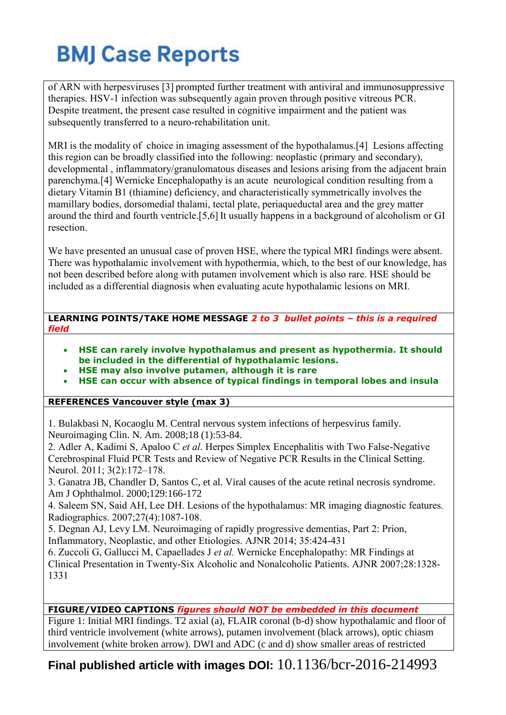# **BMJ Case Reports**

of ARN with herpesviruses [3] prompted further treatment with antiviral and immunosuppressive therapies. HSV-1 infection was subsequently again proven through positive vitreous PCR. Despite treatment, the present case resulted in cognitive impairment and the patient was subsequently transferred to a neuro-rehabilitation unit.

MRI is the modality of choice in imaging assessment of the hypothalamus.[4] Lesions affecting this region can be broadly classified into the following: neoplastic (primary and secondary), developmental , inflammatory/granulomatous diseases and lesions arising from the adjacent brain parenchyma.[4] Wernicke Encephalopathy is an acute neurological condition resulting from a dietary Vitamin B1 (thiamine) deficiency, and characteristically symmetrically involves the mamillary bodies, dorsomedial thalami, tectal plate, periaqueductal area and the grey matter around the third and fourth ventricle.[5,6] It usually happens in a background of alcoholism or GI resection.

We have presented an unusual case of proven HSE, where the typical MRI findings were absent. There was hypothalamic involvement with hypothermia, which, to the best of our knowledge, has not been described before along with putamen involvement which is also rare. HSE should be included as a differential diagnosis when evaluating acute hypothalamic lesions on MRI.

**LEARNING POINTS/TAKE HOME MESSAGE** *2 to 3 bullet points – this is a required field*

- **HSE can rarely involve hypothalamus and present as hypothermia. It should be included in the differential of hypothalamic lesions.**
- **HSE may also involve putamen, although it is rare**
- **HSE can occur with absence of typical findings in temporal lobes and insula**

### **REFERENCES Vancouver style (max 3)**

1. Bulakbasi N, Kocaoglu M. Central nervous system infections of herpesvirus family. Neuroimaging Clin. N. Am. 2008;18 (1):53-84.

2. Adler A, Kadimi S, Apaloo C *et al*. Herpes Simplex Encephalitis with Two False-Negative Cerebrospinal Fluid PCR Tests and Review of Negative PCR Results in the Clinical Setting. Neurol. 2011; 3(2):172–178.

3. Ganatra JB, Chandler D, Santos C, et al. Viral causes of the acute retinal necrosis syndrome. Am J Ophthalmol. 2000;129:166-172

4. Saleem SN, Said AH, Lee DH. Lesions of the hypothalamus: MR imaging diagnostic features*.*  Radiographics. 2007;27(4):1087-108.

5. Degnan AJ, Levy LM. Neuroimaging of rapidly progressive dementias, Part 2: Prion, Inflammatory, Neoplastic, and other Etiologies. AJNR 2014; 35:424-431

6. Zuccoli G, Gallucci M, Capaellades J *et al.* Wernicke Encephalopathy: MR Findings at Clinical Presentation in Twenty-Six Alcoholic and Nonalcoholic Patients. AJNR 2007;28:1328- 1331

## **FIGURE/VIDEO CAPTIONS** *figures should NOT be embedded in this document*

Figure 1: Initial MRI findings. T2 axial (a), FLAIR coronal (b-d) show hypothalamic and floor of third ventricle involvement (white arrows), putamen involvement (black arrows), optic chiasm involvement (white broken arrow). DWI and ADC (c and d) show smaller areas of restricted

## **Final published article with images DOI:** 10.1136/bcr-2016-214993